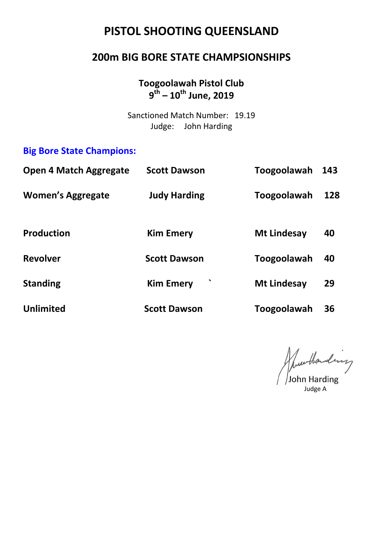# **PISTOL SHOOTING QUEENSLAND**

#### **200m BIG BORE STATE CHAMPSIONSHIPS**

#### **Toogoolawah Pistol Club 9 th – 10 th June, 2019**

Sanctioned Match Number: 19.19 Judge: John Harding

#### **Big Bore State Champions:**

| <b>Open 4 Match Aggregate</b> | <b>Scott Dawson</b> | Toogoolawah        | 143 |
|-------------------------------|---------------------|--------------------|-----|
| <b>Women's Aggregate</b>      | <b>Judy Harding</b> | Toogoolawah        | 128 |
| <b>Production</b>             | <b>Kim Emery</b>    | <b>Mt Lindesay</b> | 40  |
| <b>Revolver</b>               | <b>Scott Dawson</b> | Toogoolawah        | 40  |
| <b>Standing</b>               | <b>Kim Emery</b>    | <b>Mt Lindesay</b> | 29  |
| <b>Unlimited</b>              | <b>Scott Dawson</b> | Toogoolawah        | 36  |

June Handing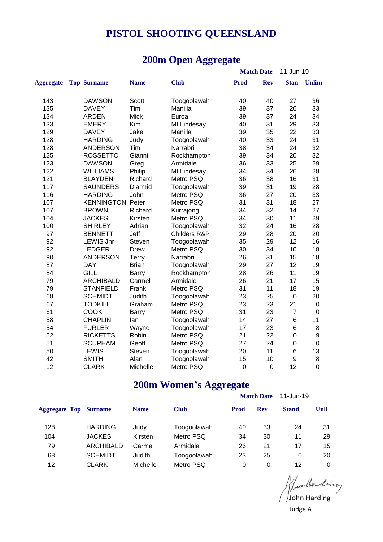## **PISTOL SHOOTING QUEENSLAND**

#### **200m Open Aggregate**

|                  |                         |              | д,<br>oo     | o           |                   |                |                  |
|------------------|-------------------------|--------------|--------------|-------------|-------------------|----------------|------------------|
|                  |                         |              |              |             | <b>Match Date</b> | 11-Jun-19      |                  |
| <b>Aggregate</b> | <b>Top Surname</b>      | <b>Name</b>  | <b>Club</b>  | <b>Prod</b> | <b>Rev</b>        | <b>Stan</b>    | <b>Unlim</b>     |
| 143              | <b>DAWSON</b>           | Scott        | Toogoolawah  | 40          | 40                | 27             | 36               |
| 135              | <b>DAVEY</b>            | Tim          | Manilla      | 39          | 37                | 26             | 33               |
| 134              | <b>ARDEN</b>            | <b>Mick</b>  | Euroa        | 39          | 37                | 24             | 34               |
| 133              | <b>EMERY</b>            | Kim          | Mt Lindesay  | 40          | 31                | 29             | 33               |
| 129              | <b>DAVEY</b>            | Jake         | Manilla      | 39          | 35                | 22             | 33               |
| 128              | <b>HARDING</b>          | Judy         | Toogoolawah  | 40          | 33                | 24             | 31               |
| 128              | <b>ANDERSON</b>         | Tim          | Narrabri     | 38          | 34                | 24             | 32               |
| 125              | <b>ROSSETTO</b>         | Gianni       | Rockhampton  | 39          | 34                | 20             | 32               |
| 123              | <b>DAWSON</b>           | Greg         | Armidale     | 36          | 33                | 25             | 29               |
| 122              | <b>WILLIAMS</b>         | Philip       | Mt Lindesay  | 34          | 34                | 26             | 28               |
| 121              | <b>BLAYDEN</b>          | Richard      | Metro PSQ    | 36          | 38                | 16             | 31               |
| 117              | <b>SAUNDERS</b>         | Diarmid      | Toogoolawah  | 39          | 31                | 19             | 28               |
| 116              | <b>HARDING</b>          | John         | Metro PSQ    | 36          | 27                | 20             | 33               |
| 107              | <b>KENNINGTON Peter</b> |              | Metro PSQ    | 31          | 31                | 18             | 27               |
| 107              | <b>BROWN</b>            | Richard      | Kurrajong    | 34          | 32                | 14             | 27               |
| 104              | <b>JACKES</b>           | Kirsten      | Metro PSQ    | 34          | 30                | 11             | 29               |
| 100              | <b>SHIRLEY</b>          | Adrian       | Toogoolawah  | 32          | 24                | 16             | 28               |
| 97               | <b>BENNETT</b>          | Jeff         | Childers R&P | 29          | 28                | 20             | 20               |
| 92               | <b>LEWIS Jnr</b>        | Steven       | Toogoolawah  | 35          | 29                | 12             | 16               |
| 92               | <b>LEDGER</b>           | <b>Drew</b>  | Metro PSQ    | 30          | 34                | 10             | 18               |
| 90               | <b>ANDERSON</b>         | <b>Terry</b> | Narrabri     | 26          | 31                | 15             | 18               |
| 87               | <b>DAY</b>              | <b>Brian</b> | Toogoolawah  | 29          | 27                | 12             | 19               |
| 84               | <b>GILL</b>             | Barry        | Rockhampton  | 28          | 26                | 11             | 19               |
| 79               | <b>ARCHIBALD</b>        | Carmel       | Armidale     | 26          | 21                | 17             | 15               |
| 79               | <b>STANFIELD</b>        | Frank        | Metro PSQ    | 31          | 11                | 18             | 19               |
| 68               | <b>SCHMIDT</b>          | Judith       | Toogoolawah  | 23          | 25                | $\mathbf 0$    | 20               |
| 67               | <b>TODKILL</b>          | Graham       | Metro PSQ    | 23          | 23                | 21             | $\pmb{0}$        |
| 61               | COOK                    | Barry        | Metro PSQ    | 31          | 23                | $\overline{7}$ | $\mathbf 0$      |
| 58               | <b>CHAPLIN</b>          | lan          | Toogoolawah  | 14          | 27                | 6              | 11               |
| 54               | <b>FURLER</b>           | Wayne        | Toogoolawah  | 17          | 23                | 6              | 8                |
| 52               | <b>RICKETTS</b>         | Robin        | Metro PSQ    | 21          | 22                | $\mathbf 0$    | $\boldsymbol{9}$ |
| 51               | <b>SCUPHAM</b>          | Geoff        | Metro PSQ    | 27          | 24                | $\mathbf 0$    | $\pmb{0}$        |
| 50               | <b>LEWIS</b>            | Steven       | Toogoolawah  | 20          | 11                | 6              | 13               |
| 42               | <b>SMITH</b>            | Alan         | Toogoolawah  | 15          | 10                | 9              | 8                |
| 12               | <b>CLARK</b>            | Michelle     | Metro PSQ    | $\mathbf 0$ | $\overline{0}$    | 12             | $\mathbf 0$      |

#### **200m Women's Aggregate**

|                              |                |             |             |             | <b>Match Date</b> | 11-Jun-19    |             |  |
|------------------------------|----------------|-------------|-------------|-------------|-------------------|--------------|-------------|--|
| <b>Aggregate Top Surname</b> |                | <b>Name</b> | <b>Club</b> | <b>Prod</b> | <b>Rev</b>        | <b>Stand</b> | <b>Unli</b> |  |
| 128                          | <b>HARDING</b> | Judy        | Toogoolawah | 40          | 33                | 24           | 31          |  |
| 104                          | <b>JACKES</b>  | Kirsten     | Metro PSQ   | 34          | 30                | 11           | 29          |  |
| 79                           | ARCHIBALD      | Carmel      | Armidale    | 26          | 21                | 17           | 15          |  |
| 68                           | <b>SCHMIDT</b> | Judith      | Toogoolawah | 23          | 25                | 0            | 20          |  |
| 12                           | <b>CLARK</b>   | Michelle    | Metro PSQ   | 0           | 0                 | 12           | 0           |  |

Nuevolonding Judge A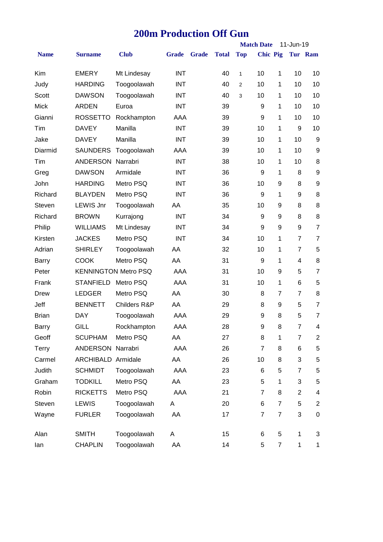#### **200m Production Off Gun**

|              |                    |                             |              |              |              |              | <b>Match Date</b> |                | 11-Jun-19        |                         |
|--------------|--------------------|-----------------------------|--------------|--------------|--------------|--------------|-------------------|----------------|------------------|-------------------------|
| <b>Name</b>  | <b>Surname</b>     | <b>Club</b>                 | <b>Grade</b> | <b>Grade</b> | <b>Total</b> | <b>Top</b>   | <b>Chic Pig</b>   |                |                  | Tur Ram                 |
| Kim          | <b>EMERY</b>       | Mt Lindesay                 | <b>INT</b>   |              | 40           | $\mathbf{1}$ | 10                | 1              | 10               | 10                      |
| Judy         | <b>HARDING</b>     | Toogoolawah                 | <b>INT</b>   |              | 40           | 2            | 10                | 1              | 10               | 10                      |
| Scott        | <b>DAWSON</b>      | Toogoolawah                 | <b>INT</b>   |              | 40           | 3            | 10                | 1              | 10               | 10                      |
| <b>Mick</b>  | <b>ARDEN</b>       | Euroa                       | <b>INT</b>   |              | 39           |              | 9                 | 1              | 10               | 10                      |
| Gianni       | <b>ROSSETTO</b>    | Rockhampton                 | AAA          |              | 39           |              | 9                 | 1              | 10               | 10                      |
| Tim          | <b>DAVEY</b>       | Manilla                     | <b>INT</b>   |              | 39           |              | 10                | 1              | 9                | 10                      |
| Jake         | <b>DAVEY</b>       | Manilla                     | <b>INT</b>   |              | 39           |              | 10                | 1              | 10               | 9                       |
| Diarmid      | <b>SAUNDERS</b>    | Toogoolawah                 | AAA          |              | 39           |              | 10                | 1              | 10               | $\boldsymbol{9}$        |
| Tim          | ANDERSON Narrabri  |                             | <b>INT</b>   |              | 38           |              | 10                | 1              | 10               | 8                       |
| Greg         | <b>DAWSON</b>      | Armidale                    | <b>INT</b>   |              | 36           |              | 9                 | 1              | 8                | 9                       |
| John         | <b>HARDING</b>     | Metro PSQ                   | <b>INT</b>   |              | 36           |              | 10                | 9              | 8                | 9                       |
| Richard      | <b>BLAYDEN</b>     | Metro PSQ                   | <b>INT</b>   |              | 36           |              | 9                 | 1              | 9                | 8                       |
| Steven       | <b>LEWIS Jnr</b>   | Toogoolawah                 | AA           |              | 35           |              | 10                | 9              | 8                | 8                       |
| Richard      | <b>BROWN</b>       | Kurrajong                   | <b>INT</b>   |              | 34           |              | 9                 | 9              | 8                | 8                       |
| Philip       | <b>WILLIAMS</b>    | Mt Lindesay                 | <b>INT</b>   |              | 34           |              | 9                 | 9              | $\boldsymbol{9}$ | $\overline{7}$          |
| Kirsten      | <b>JACKES</b>      | Metro PSQ                   | <b>INT</b>   |              | 34           |              | 10                | 1              | $\overline{7}$   | $\overline{7}$          |
| Adrian       | <b>SHIRLEY</b>     | Toogoolawah                 | AA           |              | 32           |              | 10                | 1              | $\overline{7}$   | 5                       |
| Barry        | <b>COOK</b>        | Metro PSQ                   | AA           |              | 31           |              | 9                 | 1              | 4                | 8                       |
| Peter        |                    | <b>KENNINGTON Metro PSQ</b> | AAA          |              | 31           |              | 10                | 9              | 5                | $\overline{7}$          |
| Frank        | <b>STANFIELD</b>   | Metro PSQ                   | AAA          |              | 31           |              | 10                | 1              | 6                | 5                       |
| Drew         | <b>LEDGER</b>      | Metro PSQ                   | AA           |              | 30           |              | 8                 | 7              | $\overline{7}$   | 8                       |
| Jeff         | <b>BENNETT</b>     | Childers R&P                | AA           |              | 29           |              | 8                 | 9              | 5                | $\overline{7}$          |
| <b>Brian</b> | <b>DAY</b>         | Toogoolawah                 | AAA          |              | 29           |              | 9                 | 8              | 5                | $\overline{7}$          |
| <b>Barry</b> | <b>GILL</b>        | Rockhampton                 | AAA          |              | 28           |              | 9                 | 8              | $\overline{7}$   | $\overline{\mathbf{4}}$ |
| Geoff        | <b>SCUPHAM</b>     | Metro PSQ                   | AA           |              | 27           |              | 8                 | 1              | $\overline{7}$   | $\overline{2}$          |
| Terry        | ANDERSON Narrabri  |                             | AAA          |              | 26           |              | $\overline{7}$    | 8              | 6                | $\mathbf 5$             |
| Carmel       | ARCHIBALD Armidale |                             | AA           |              | 26           |              | 10                | 8              | 3                | 5                       |
| Judith       | <b>SCHMIDT</b>     | Toogoolawah                 | AAA          |              | 23           |              | 6                 | 5              | $\overline{7}$   | 5                       |
| Graham       | <b>TODKILL</b>     | Metro PSQ                   | AA           |              | 23           |              | 5                 | 1              | 3                | 5                       |
| Robin        | <b>RICKETTS</b>    | Metro PSQ                   | AAA          |              | 21           |              | $\overline{7}$    | 8              | $\overline{2}$   | 4                       |
| Steven       | <b>LEWIS</b>       | Toogoolawah                 | A            |              | 20           |              | 6                 | $\overline{7}$ | 5                | $\overline{2}$          |
| Wayne        | <b>FURLER</b>      | Toogoolawah                 | AA           |              | 17           |              | $\overline{7}$    | $\overline{7}$ | 3                | 0                       |
| Alan         | <b>SMITH</b>       | Toogoolawah                 | Α            |              | 15           |              | 6                 | 5              | 1                | 3                       |
| lan          | <b>CHAPLIN</b>     | Toogoolawah                 | AA           |              | 14           |              | 5                 | $\overline{7}$ | $\mathbf{1}$     | $\mathbf{1}$            |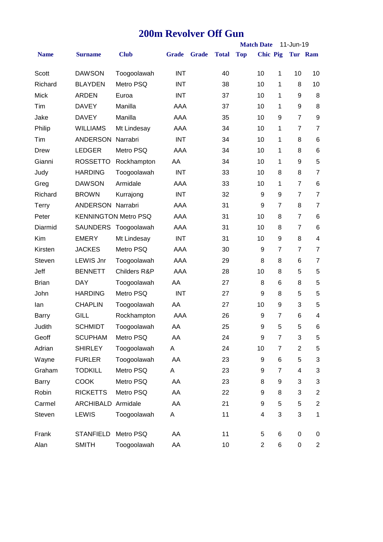#### **200m Revolver Off Gun**

|              |                             |                         |              |              |              |            | <b>Match Date</b> |                | 11-Jun-19      |                          |
|--------------|-----------------------------|-------------------------|--------------|--------------|--------------|------------|-------------------|----------------|----------------|--------------------------|
| <b>Name</b>  | <b>Surname</b>              | <b>Club</b>             | <b>Grade</b> | <b>Grade</b> | <b>Total</b> | <b>Top</b> | <b>Chic Pig</b>   |                |                | Tur Ram                  |
| Scott        | <b>DAWSON</b>               | Toogoolawah             | <b>INT</b>   |              | 40           |            | 10                | 1              | 10             | 10                       |
| Richard      | <b>BLAYDEN</b>              | Metro PSQ               | INT          |              | 38           |            | 10                | 1              | 8              | 10                       |
| <b>Mick</b>  | <b>ARDEN</b>                | Euroa                   | <b>INT</b>   |              | 37           |            | 10                | 1              | 9              | 8                        |
| Tim          | <b>DAVEY</b>                | Manilla                 | AAA          |              | 37           |            | 10                | 1              | 9              | 8                        |
| Jake         | <b>DAVEY</b>                | Manilla                 | AAA          |              | 35           |            | 10                | 9              | $\overline{7}$ | 9                        |
| Philip       | <b>WILLIAMS</b>             | Mt Lindesay             | AAA          |              | 34           |            | 10                | 1              | 7              | $\overline{7}$           |
| Tim          | <b>ANDERSON Narrabri</b>    |                         | <b>INT</b>   |              | 34           |            | 10                | 1              | 8              | 6                        |
| Drew         | <b>LEDGER</b>               | Metro PSQ               | AAA          |              | 34           |            | 10                | 1              | 8              | 6                        |
| Gianni       | <b>ROSSETTO</b>             | Rockhampton             | AA           |              | 34           |            | 10                | 1              | 9              | 5                        |
| Judy         | <b>HARDING</b>              | Toogoolawah             | <b>INT</b>   |              | 33           |            | 10                | 8              | 8              | $\overline{7}$           |
| Greg         | <b>DAWSON</b>               | Armidale                | AAA          |              | 33           |            | 10                | 1              | $\overline{7}$ | $6\phantom{1}6$          |
| Richard      | <b>BROWN</b>                | Kurrajong               | <b>INT</b>   |              | 32           |            | 9                 | 9              | $\overline{7}$ | $\overline{7}$           |
| Terry        | <b>ANDERSON Narrabri</b>    |                         | AAA          |              | 31           |            | 9                 | $\overline{7}$ | 8              | $\overline{7}$           |
| Peter        | <b>KENNINGTON Metro PSQ</b> |                         | AAA          |              | 31           |            | 10                | 8              | $\overline{7}$ | 6                        |
| Diarmid      |                             | SAUNDERS Toogoolawah    | AAA          |              | 31           |            | 10                | 8              | $\overline{7}$ | 6                        |
| Kim          | <b>EMERY</b>                | Mt Lindesay             | <b>INT</b>   |              | 31           |            | 10                | 9              | 8              | $\overline{\mathcal{A}}$ |
| Kirsten      | <b>JACKES</b>               | Metro PSQ               | AAA          |              | 30           |            | 9                 | 7              | $\overline{7}$ | $\overline{7}$           |
| Steven       | <b>LEWIS Jnr</b>            | Toogoolawah             | AAA          |              | 29           |            | 8                 | 8              | 6              | $\overline{7}$           |
| Jeff         | <b>BENNETT</b>              | <b>Childers R&amp;P</b> | AAA          |              | 28           |            | 10                | 8              | 5              | 5                        |
| <b>Brian</b> | <b>DAY</b>                  | Toogoolawah             | AA           |              | 27           |            | 8                 | 6              | 8              | 5                        |
| John         | <b>HARDING</b>              | Metro PSQ               | <b>INT</b>   |              | 27           |            | 9                 | 8              | 5              | 5                        |
| lan          | <b>CHAPLIN</b>              | Toogoolawah             | AA           |              | 27           |            | 10                | 9              | 3              | 5                        |
| Barry        | GILL                        | Rockhampton             | AAA          |              | 26           |            | 9                 | 7              | 6              | 4                        |
| Judith       | <b>SCHMIDT</b>              | Toogoolawah             | AA           |              | 25           |            | 9                 | 5              | 5              | 6                        |
| Geoff        | <b>SCUPHAM</b>              | Metro PSQ               | AA           |              | 24           |            | 9                 | $\overline{7}$ | 3              | 5                        |
| Adrian       | <b>SHIRLEY</b>              | Toogoolawah             | A            |              | 24           |            | 10                | $\overline{7}$ | $\overline{2}$ | $\,$ 5 $\,$              |
| Wayne        | <b>FURLER</b>               | Toogoolawah             | AA           |              | 23           |            | 9                 | 6              | 5              | 3                        |
| Graham       | <b>TODKILL</b>              | Metro PSQ               | Α            |              | 23           |            | 9                 | 7              | 4              | 3                        |
| Barry        | <b>COOK</b>                 | Metro PSQ               | AA           |              | 23           |            | 8                 | 9              | 3              | 3                        |
| Robin        | <b>RICKETTS</b>             | Metro PSQ               | AA           |              | 22           |            | 9                 | 8              | 3              | $\overline{c}$           |
| Carmel       | ARCHIBALD Armidale          |                         | AA           |              | 21           |            | 9                 | 5              | 5              | $\overline{c}$           |
| Steven       | LEWIS                       | Toogoolawah             | Α            |              | 11           |            | 4                 | 3              | 3              | $\mathbf 1$              |
| Frank        | <b>STANFIELD</b>            | Metro PSQ               | AA           |              | 11           |            | 5                 | 6              | 0              | 0                        |
| Alan         | <b>SMITH</b>                | Toogoolawah             | AA           |              | 10           |            | $\overline{2}$    | 6              | 0              | $\overline{c}$           |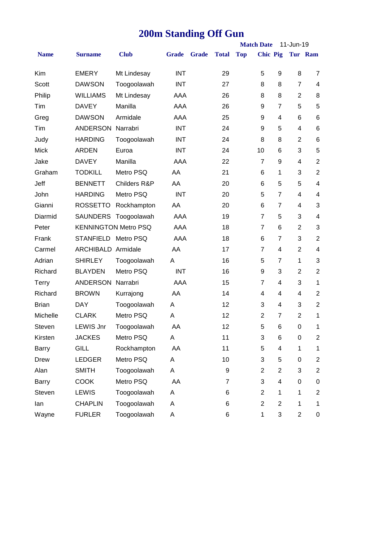# **200m Standing Off Gun**

|              |                             |                      |              |              |              |            | <b>Match Date</b> |                         | 11-Jun-19               |                         |
|--------------|-----------------------------|----------------------|--------------|--------------|--------------|------------|-------------------|-------------------------|-------------------------|-------------------------|
| <b>Name</b>  | <b>Surname</b>              | <b>Club</b>          | <b>Grade</b> | <b>Grade</b> | <b>Total</b> | <b>Top</b> | <b>Chic Pig</b>   |                         |                         | Tur Ram                 |
| Kim          | <b>EMERY</b>                | Mt Lindesay          | <b>INT</b>   |              | 29           |            | 5                 | 9                       | 8                       | $\overline{7}$          |
| Scott        | <b>DAWSON</b>               | Toogoolawah          | <b>INT</b>   |              | 27           |            | 8                 | 8                       | $\overline{7}$          | $\overline{\mathbf{4}}$ |
| Philip       | <b>WILLIAMS</b>             | Mt Lindesay          | AAA          |              | 26           |            | 8                 | 8                       | $\overline{2}$          | 8                       |
| Tim          | <b>DAVEY</b>                | Manilla              | AAA          |              | 26           |            | 9                 | $\overline{7}$          | 5                       | 5                       |
| Greg         | <b>DAWSON</b>               | Armidale             | AAA          |              | 25           |            | 9                 | 4                       | 6                       | 6                       |
| Tim          | <b>ANDERSON</b>             | Narrabri             | <b>INT</b>   |              | 24           |            | 9                 | 5                       | $\overline{\mathbf{4}}$ | $\,6$                   |
| Judy         | <b>HARDING</b>              | Toogoolawah          | <b>INT</b>   |              | 24           |            | 8                 | 8                       | $\overline{2}$          | $\,6$                   |
| <b>Mick</b>  | <b>ARDEN</b>                | Euroa                | <b>INT</b>   |              | 24           |            | 10                | 6                       | 3                       | 5                       |
| Jake         | <b>DAVEY</b>                | Manilla              | AAA          |              | 22           |            | $\overline{7}$    | 9                       | 4                       | $\overline{2}$          |
| Graham       | <b>TODKILL</b>              | Metro PSQ            | AA           |              | 21           |            | 6                 | 1                       | 3                       | $\mathbf 2$             |
| Jeff         | <b>BENNETT</b>              | Childers R&P         | AA           |              | 20           |            | 6                 | 5                       | 5                       | $\overline{\mathbf{4}}$ |
| John         | <b>HARDING</b>              | Metro PSQ            | <b>INT</b>   |              | 20           |            | 5                 | $\overline{7}$          | 4                       | $\overline{\mathbf{4}}$ |
| Gianni       | <b>ROSSETTO</b>             | Rockhampton          | AA           |              | 20           |            | 6                 | 7                       | 4                       | 3                       |
| Diarmid      |                             | SAUNDERS Toogoolawah | AAA          |              | 19           |            | $\overline{7}$    | 5                       | 3                       | $\overline{\mathbf{4}}$ |
| Peter        | <b>KENNINGTON Metro PSQ</b> |                      | AAA          |              | 18           |            | $\overline{7}$    | $6\phantom{1}6$         | $\overline{2}$          | 3                       |
| Frank        | STANFIELD Metro PSQ         |                      | AAA          |              | 18           |            | 6                 | 7                       | 3                       | $\overline{2}$          |
| Carmel       | <b>ARCHIBALD Armidale</b>   |                      | AA           |              | 17           |            | $\overline{7}$    | 4                       | $\overline{2}$          | $\overline{\mathbf{4}}$ |
| Adrian       | <b>SHIRLEY</b>              | Toogoolawah          | A            |              | 16           |            | 5                 | 7                       | 1                       | 3                       |
| Richard      | <b>BLAYDEN</b>              | Metro PSQ            | <b>INT</b>   |              | 16           |            | 9                 | 3                       | $\overline{2}$          | $\overline{2}$          |
| Terry        | <b>ANDERSON Narrabri</b>    |                      | AAA          |              | 15           |            | $\overline{7}$    | 4                       | 3                       | $\mathbf{1}$            |
| Richard      | <b>BROWN</b>                | Kurrajong            | AA           |              | 14           |            | 4                 | 4                       | 4                       | $\mathbf 2$             |
| <b>Brian</b> | <b>DAY</b>                  | Toogoolawah          | A            |              | 12           |            | 3                 | 4                       | 3                       | $\overline{2}$          |
| Michelle     | <b>CLARK</b>                | Metro PSQ            | Α            |              | 12           |            | $\overline{2}$    | 7                       | $\overline{2}$          | 1                       |
| Steven       | <b>LEWIS Jnr</b>            | Toogoolawah          | AA           |              | 12           |            | 5                 | 6                       | 0                       | 1                       |
| Kirsten      | <b>JACKES</b>               | Metro PSQ            | Α            |              | 11           |            | 3                 | 6                       | $\pmb{0}$               | $\overline{2}$          |
| <b>Barry</b> | <b>GILL</b>                 | Rockhampton          | AA           |              | 11           |            | 5                 | 4                       | 1                       | 1                       |
| Drew         | <b>LEDGER</b>               | Metro PSQ            | Α            |              | 10           |            | 3                 | 5                       | 0                       | $\overline{2}$          |
| Alan         | <b>SMITH</b>                | Toogoolawah          | Α            |              | 9            |            | $\overline{2}$    | $\overline{2}$          | 3                       | $\overline{c}$          |
| Barry        | <b>COOK</b>                 | Metro PSQ            | AA           |              | 7            |            | 3                 | 4                       | $\boldsymbol{0}$        | $\pmb{0}$               |
| Steven       | LEWIS                       | Toogoolawah          | Α            |              | 6            |            | $\overline{2}$    | $\mathbf 1$             | $\mathbf 1$             | $\overline{c}$          |
| lan          | <b>CHAPLIN</b>              | Toogoolawah          | Α            |              | 6            |            | $\overline{2}$    | $\overline{\mathbf{c}}$ | 1                       | 1                       |
| Wayne        | <b>FURLER</b>               | Toogoolawah          | Α            |              | 6            |            | $\mathbf 1$       | 3                       | $\overline{2}$          | 0                       |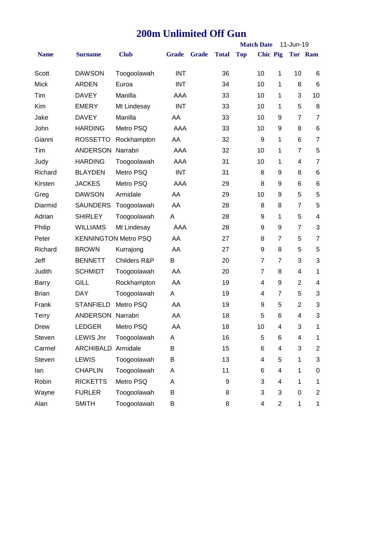## **200m Unlimited Off Gun**

|              |                          |                             |              |              |              |            | <b>Match Date</b>       |                | 11-Jun-19      |                         |
|--------------|--------------------------|-----------------------------|--------------|--------------|--------------|------------|-------------------------|----------------|----------------|-------------------------|
| <b>Name</b>  | <b>Surname</b>           | <b>Club</b>                 | <b>Grade</b> | <b>Grade</b> | <b>Total</b> | <b>Top</b> | <b>Chic Pig</b>         |                |                | Tur Ram                 |
| Scott        | <b>DAWSON</b>            | Toogoolawah                 | <b>INT</b>   |              | 36           |            | 10                      | 1              | 10             | 6                       |
| <b>Mick</b>  | ARDEN                    | Euroa                       | <b>INT</b>   |              | 34           |            | 10                      | 1              | 8              | 6                       |
| Tim          | <b>DAVEY</b>             | Manilla                     | AAA          |              | 33           |            | 10                      | 1              | 3              | 10                      |
| Kim          | <b>EMERY</b>             | Mt Lindesay                 | <b>INT</b>   |              | 33           |            | 10                      | 1              | 5              | 8                       |
| Jake         | <b>DAVEY</b>             | Manilla                     | AA           |              | 33           |            | 10                      | 9              | $\overline{7}$ | $\overline{7}$          |
| John         | <b>HARDING</b>           | Metro PSQ                   | AAA          |              | 33           |            | 10                      | 9              | 8              | $\,6$                   |
| Gianni       | <b>ROSSETTO</b>          | Rockhampton                 | AA           |              | 32           |            | 9                       | 1              | 6              | $\overline{7}$          |
| Tim          | ANDERSON Narrabri        |                             | AAA          |              | 32           |            | 10                      | 1              | $\overline{7}$ | 5                       |
| Judy         | <b>HARDING</b>           | Toogoolawah                 | AAA          |              | 31           |            | 10                      | 1              | 4              | $\overline{7}$          |
| Richard      | <b>BLAYDEN</b>           | Metro PSQ                   | <b>INT</b>   |              | 31           |            | 8                       | 9              | 8              | 6                       |
| Kirsten      | <b>JACKES</b>            | Metro PSQ                   | AAA          |              | 29           |            | 8                       | 9              | 6              | 6                       |
| Greg         | <b>DAWSON</b>            | Armidale                    | AA           |              | 29           |            | 10                      | 9              | 5              | 5                       |
| Diarmid      | <b>SAUNDERS</b>          | Toogoolawah                 | AA           |              | 28           |            | 8                       | 8              | 7              | 5                       |
| Adrian       | <b>SHIRLEY</b>           | Toogoolawah                 | A            |              | 28           |            | 9                       | $\mathbf{1}$   | 5              | $\overline{\mathbf{4}}$ |
| Philip       | <b>WILLIAMS</b>          | Mt Lindesay                 | AAA          |              | 28           |            | 9                       | 9              | $\overline{7}$ | 3                       |
| Peter        |                          | <b>KENNINGTON Metro PSQ</b> | AA           |              | 27           |            | 8                       | 7              | 5              | $\overline{7}$          |
| Richard      | <b>BROWN</b>             | Kurrajong                   | AA           |              | 27           |            | 9                       | 8              | 5              | 5                       |
| Jeff         | <b>BENNETT</b>           | Childers R&P                | B            |              | 20           |            | $\overline{7}$          | 7              | 3              | 3                       |
| Judith       | <b>SCHMIDT</b>           | Toogoolawah                 | AA           |              | 20           |            | $\overline{7}$          | 8              | 4              | 1                       |
| <b>Barry</b> | GILL                     | Rockhampton                 | AA           |              | 19           |            | 4                       | 9              | $\overline{2}$ | $\overline{\mathbf{4}}$ |
| <b>Brian</b> | <b>DAY</b>               | Toogoolawah                 | A            |              | 19           |            | 4                       | $\overline{7}$ | 5              | 3                       |
| Frank        | <b>STANFIELD</b>         | Metro PSQ                   | AA           |              | 19           |            | 9                       | 5              | $\overline{2}$ | 3                       |
| Terry        | <b>ANDERSON Narrabri</b> |                             | AA           |              | 18           |            | 5                       | 6              | 4              | 3                       |
| Drew         | <b>LEDGER</b>            | Metro PSQ                   | AA           |              | 18           |            | 10                      | 4              | 3              | 1                       |
| Steven       | <b>LEWIS Jnr</b>         | Toogoolawah                 | A            |              | 16           |            | 5                       | 6              | 4              | 1                       |
| Carmel       | <b>ARCHIBALD</b>         | Armidale                    | B            |              | 15           |            | 6                       | 4              | 3              | $\overline{2}$          |
| Steven       | <b>LEWIS</b>             | Toogoolawah                 | Β            |              | 13           |            | $\overline{\mathbf{4}}$ | 5              | 1              | 3                       |
| lan          | <b>CHAPLIN</b>           | Toogoolawah                 | Α            |              | 11           |            | 6                       | 4              | 1              | $\pmb{0}$               |
| Robin        | <b>RICKETTS</b>          | Metro PSQ                   | Α            |              | 9            |            | 3                       | 4              | 1              | 1                       |
| Wayne        | <b>FURLER</b>            | Toogoolawah                 | В            |              | 8            |            | 3                       | 3              | $\pmb{0}$      | $\overline{c}$          |
| Alan         | <b>SMITH</b>             | Toogoolawah                 | В            |              | 8            |            | 4                       | $\overline{c}$ | 1              | 1                       |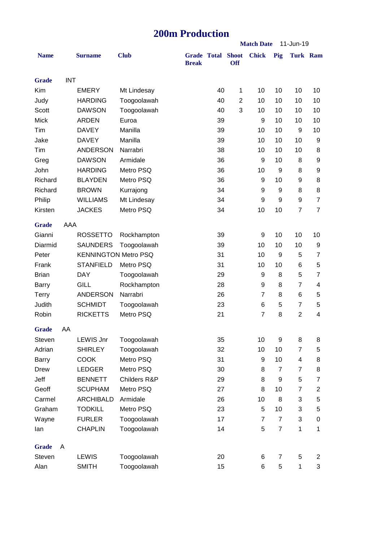## **200m Production**

|              |            |                             |              | ZUVIII 1 TUUULIVII |                    |                            | <b>Match Date</b><br>11-Jun-19 |                |                |                 |  |  |
|--------------|------------|-----------------------------|--------------|--------------------|--------------------|----------------------------|--------------------------------|----------------|----------------|-----------------|--|--|
|              |            |                             |              |                    |                    |                            |                                |                |                |                 |  |  |
| <b>Name</b>  |            | <b>Surname</b>              | <b>Club</b>  | <b>Break</b>       | <b>Grade Total</b> | <b>Shoot</b><br><b>Off</b> | <b>Chick</b>                   | Pig            |                | <b>Turk Ram</b> |  |  |
|              |            |                             |              |                    |                    |                            |                                |                |                |                 |  |  |
| <b>Grade</b> | <b>INT</b> |                             |              |                    |                    |                            |                                |                |                |                 |  |  |
| Kim          |            | <b>EMERY</b>                | Mt Lindesay  |                    | 40                 | 1                          | 10                             | 10             | 10             | 10              |  |  |
| Judy         |            | <b>HARDING</b>              | Toogoolawah  |                    | 40                 | $\overline{2}$             | 10                             | 10             | 10             | 10              |  |  |
| <b>Scott</b> |            | <b>DAWSON</b>               | Toogoolawah  |                    | 40                 | 3                          | 10                             | 10             | 10             | 10              |  |  |
| <b>Mick</b>  |            | <b>ARDEN</b>                | Euroa        |                    | 39                 |                            | 9                              | 10             | 10             | 10              |  |  |
| Tim          |            | <b>DAVEY</b>                | Manilla      |                    | 39                 |                            | 10                             | 10             | 9              | 10              |  |  |
| Jake         |            | <b>DAVEY</b>                | Manilla      |                    | 39                 |                            | 10                             | 10             | 10             | 9               |  |  |
| Tim          |            | <b>ANDERSON</b>             | Narrabri     |                    | 38                 |                            | 10                             | 10             | 10             | 8               |  |  |
| Greg         |            | <b>DAWSON</b>               | Armidale     |                    | 36                 |                            | 9                              | 10             | 8              | 9               |  |  |
| John         |            | <b>HARDING</b>              | Metro PSQ    |                    | 36                 |                            | 10                             | 9              | 8              | 9               |  |  |
| Richard      |            | <b>BLAYDEN</b>              | Metro PSQ    |                    | 36                 |                            | 9                              | 10             | 9              | 8               |  |  |
| Richard      |            | <b>BROWN</b>                | Kurrajong    |                    | 34                 |                            | 9                              | 9              | 8              | 8               |  |  |
| Philip       |            | <b>WILLIAMS</b>             | Mt Lindesay  |                    | 34                 |                            | 9                              | 9              | 9              | $\overline{7}$  |  |  |
| Kirsten      |            | <b>JACKES</b>               | Metro PSQ    |                    | 34                 |                            | 10                             | 10             | $\overline{7}$ | $\overline{7}$  |  |  |
| <b>Grade</b> | AAA        |                             |              |                    |                    |                            |                                |                |                |                 |  |  |
| Gianni       |            | <b>ROSSETTO</b>             | Rockhampton  |                    | 39                 |                            | 9                              | 10             | 10             | 10              |  |  |
| Diarmid      |            | <b>SAUNDERS</b>             | Toogoolawah  |                    | 39                 |                            | 10                             | 10             | 10             | 9               |  |  |
| Peter        |            | <b>KENNINGTON Metro PSQ</b> |              |                    | 31                 |                            | 10                             | 9              | 5              | 7               |  |  |
| Frank        |            | <b>STANFIELD</b>            | Metro PSQ    |                    | 31                 |                            | 10                             | 10             | 6              | 5               |  |  |
| <b>Brian</b> |            | <b>DAY</b>                  | Toogoolawah  |                    | 29                 |                            | 9                              | 8              | 5              | $\overline{7}$  |  |  |
| Barry        |            | <b>GILL</b>                 | Rockhampton  |                    | 28                 |                            | 9                              | 8              | $\overline{7}$ | 4               |  |  |
| <b>Terry</b> |            | <b>ANDERSON</b>             | Narrabri     |                    | 26                 |                            | $\overline{7}$                 | 8              | 6              | 5               |  |  |
| Judith       |            | <b>SCHMIDT</b>              | Toogoolawah  |                    | 23                 |                            | 6                              | 5              | $\overline{7}$ | 5               |  |  |
| Robin        |            | <b>RICKETTS</b>             | Metro PSQ    |                    | 21                 |                            | $\overline{7}$                 | 8              | $\overline{2}$ | 4               |  |  |
| <b>Grade</b> | AA         |                             |              |                    |                    |                            |                                |                |                |                 |  |  |
| Steven       |            | <b>LEWIS Jnr</b>            | Toogoolawah  |                    | 35                 |                            | 10                             | 9              | 8              | 8               |  |  |
| Adrian       |            | <b>SHIRLEY</b>              | Toogoolawah  |                    | 32                 |                            | 10                             | 10             | $\overline{7}$ | 5               |  |  |
| Barry        |            | <b>COOK</b>                 | Metro PSQ    |                    | 31                 |                            | 9                              | 10             | $\overline{4}$ | 8               |  |  |
| Drew         |            | <b>LEDGER</b>               | Metro PSQ    |                    | 30                 |                            | 8                              | $\overline{7}$ | $\overline{7}$ | 8               |  |  |
| Jeff         |            | <b>BENNETT</b>              | Childers R&P |                    | 29                 |                            | 8                              | 9              | 5              | 7               |  |  |
| Geoff        |            | <b>SCUPHAM</b>              | Metro PSQ    |                    | 27                 |                            | 8                              | 10             | $\overline{7}$ | $\overline{c}$  |  |  |
| Carmel       |            | <b>ARCHIBALD</b>            | Armidale     |                    | 26                 |                            | 10                             | 8              | 3              | 5               |  |  |
| Graham       |            | <b>TODKILL</b>              | Metro PSQ    |                    | 23                 |                            | 5                              | 10             | 3              | 5               |  |  |
| Wayne        |            | <b>FURLER</b>               | Toogoolawah  |                    | 17                 |                            | $\overline{7}$                 | $\overline{7}$ | 3              | 0               |  |  |
| lan          |            | <b>CHAPLIN</b>              | Toogoolawah  |                    | 14                 |                            | 5                              | $\overline{7}$ | $\mathbf{1}$   | 1               |  |  |
|              |            |                             |              |                    |                    |                            |                                |                |                |                 |  |  |
| <b>Grade</b> | A          |                             |              |                    |                    |                            |                                |                |                |                 |  |  |
| Steven       |            | <b>LEWIS</b>                | Toogoolawah  |                    | 20                 |                            | 6                              | 7              | $\,$ 5 $\,$    | $\overline{c}$  |  |  |
| Alan         |            | <b>SMITH</b>                | Toogoolawah  |                    | 15                 |                            | 6                              | 5              | $\mathbf{1}$   | 3               |  |  |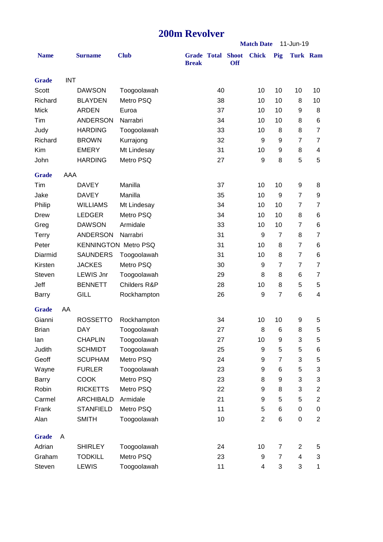## **200m Revolver**

|              |            |                  |                             |              |                    |                            | <b>Match Date</b><br>11-Jun-19 |                |                 |                         |
|--------------|------------|------------------|-----------------------------|--------------|--------------------|----------------------------|--------------------------------|----------------|-----------------|-------------------------|
| <b>Name</b>  |            | <b>Surname</b>   | <b>Club</b>                 | <b>Break</b> | <b>Grade Total</b> | <b>Shoot</b><br><b>Off</b> | <b>Chick</b>                   | Pig            | <b>Turk Ram</b> |                         |
| <b>Grade</b> | <b>INT</b> |                  |                             |              |                    |                            |                                |                |                 |                         |
| Scott        |            | <b>DAWSON</b>    | Toogoolawah                 |              | 40                 |                            | 10                             | 10             | 10              | 10                      |
| Richard      |            | <b>BLAYDEN</b>   | Metro PSQ                   |              | 38                 |                            | 10                             | 10             | 8               | 10                      |
| <b>Mick</b>  |            | <b>ARDEN</b>     | Euroa                       |              | 37                 |                            | 10                             | 10             | 9               | 8                       |
| Tim          |            | <b>ANDERSON</b>  | Narrabri                    |              | 34                 |                            | 10                             | 10             | 8               | 6                       |
| Judy         |            | <b>HARDING</b>   | Toogoolawah                 |              | 33                 |                            | 10                             | 8              | 8               | $\overline{7}$          |
| Richard      |            | <b>BROWN</b>     | Kurrajong                   |              | 32                 |                            | 9                              | 9              | $\overline{7}$  | $\overline{7}$          |
| Kim          |            | <b>EMERY</b>     | Mt Lindesay                 |              | 31                 |                            | 10                             | 9              | 8               | 4                       |
| John         |            | <b>HARDING</b>   | Metro PSQ                   |              | 27                 |                            | 9                              | 8              | 5               | 5                       |
| <b>Grade</b> | AAA        |                  |                             |              |                    |                            |                                |                |                 |                         |
| Tim          |            | <b>DAVEY</b>     | Manilla                     |              | 37                 |                            | 10                             | 10             | 9               | 8                       |
| Jake         |            | <b>DAVEY</b>     | Manilla                     |              | 35                 |                            | 10                             | 9              | $\overline{7}$  | 9                       |
| Philip       |            | <b>WILLIAMS</b>  | Mt Lindesay                 |              | 34                 |                            | 10                             | 10             | $\overline{7}$  | 7                       |
| Drew         |            | <b>LEDGER</b>    | Metro PSQ                   |              | 34                 |                            | 10                             | 10             | 8               | 6                       |
| Greg         |            | <b>DAWSON</b>    | Armidale                    |              | 33                 |                            | 10                             | 10             | $\overline{7}$  | 6                       |
| <b>Terry</b> |            | <b>ANDERSON</b>  | Narrabri                    |              | 31                 |                            | 9                              | $\overline{7}$ | 8               | $\overline{7}$          |
| Peter        |            |                  | <b>KENNINGTON Metro PSQ</b> |              | 31                 |                            | 10                             | 8              | $\overline{7}$  | 6                       |
| Diarmid      |            | <b>SAUNDERS</b>  | Toogoolawah                 |              | 31                 |                            | 10                             | 8              | $\overline{7}$  | 6                       |
| Kirsten      |            | <b>JACKES</b>    | Metro PSQ                   |              | 30                 |                            | 9                              | $\overline{7}$ | $\overline{7}$  | $\overline{7}$          |
| Steven       |            | <b>LEWIS Jnr</b> | Toogoolawah                 |              | 29                 |                            | 8                              | 8              | 6               | 7                       |
| Jeff         |            | <b>BENNETT</b>   | Childers R&P                |              | 28                 |                            | 10                             | 8              | 5               | 5                       |
| <b>Barry</b> |            | <b>GILL</b>      | Rockhampton                 |              | 26                 |                            | 9                              | $\overline{7}$ | 6               | $\overline{\mathbf{4}}$ |
| <b>Grade</b> | AA         |                  |                             |              |                    |                            |                                |                |                 |                         |
| Gianni       |            | <b>ROSSETTO</b>  | Rockhampton                 |              | 34                 |                            | 10                             | 10             | 9               | 5                       |
| Brian        |            | <b>DAY</b>       | Toogoolawah                 |              | 27                 |                            | 8                              | 6              | 8               | 5                       |
| lan          |            | <b>CHAPLIN</b>   | Toogoolawah                 |              | 27                 |                            | 10                             | 9              | 3               | 5                       |
| Judith       |            | <b>SCHMIDT</b>   | Toogoolawah                 |              | 25                 |                            | 9                              | 5              | 5               | 6                       |
| Geoff        |            | <b>SCUPHAM</b>   | Metro PSQ                   |              | 24                 |                            | 9                              | 7              | 3               | 5                       |
| Wayne        |            | <b>FURLER</b>    | Toogoolawah                 |              | 23                 |                            | 9                              | 6              | 5               | 3                       |
| <b>Barry</b> |            | <b>COOK</b>      | Metro PSQ                   |              | 23                 |                            | 8                              | 9              | 3               | 3                       |
| Robin        |            | <b>RICKETTS</b>  | Metro PSQ                   |              | 22                 |                            | 9                              | 8              | 3               | $\boldsymbol{2}$        |
| Carmel       |            | <b>ARCHIBALD</b> | Armidale                    |              | 21                 |                            | 9                              | 5              | 5               | $\overline{2}$          |
| Frank        |            | <b>STANFIELD</b> | Metro PSQ                   |              | 11                 |                            | 5                              | 6              | 0               | 0                       |
| Alan         |            | <b>SMITH</b>     | Toogoolawah                 |              | 10                 |                            | $\overline{2}$                 | 6              | 0               | $\overline{2}$          |
| <b>Grade</b> | A          |                  |                             |              |                    |                            |                                |                |                 |                         |
| Adrian       |            | <b>SHIRLEY</b>   | Toogoolawah                 |              | 24                 |                            | 10                             | 7              | $\overline{c}$  | 5                       |
| Graham       |            | <b>TODKILL</b>   | Metro PSQ                   |              | 23                 |                            | 9                              | $\overline{7}$ | 4               | 3                       |
| Steven       |            | <b>LEWIS</b>     | Toogoolawah                 |              | 11                 |                            | 4                              | 3              | 3               | $\mathbf{1}$            |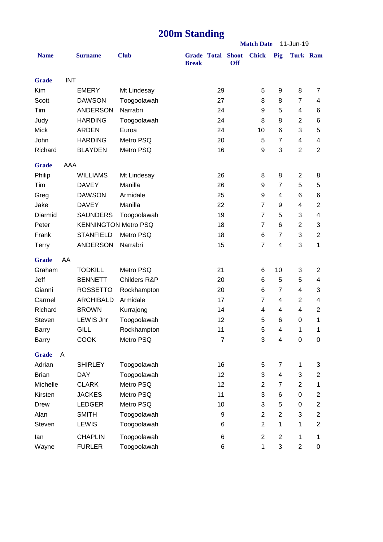# **200m Standing**

|              |            |                             |              |                                          |                |            |                | <b>Match Date</b><br>11-Jun-19 |                  |                         |
|--------------|------------|-----------------------------|--------------|------------------------------------------|----------------|------------|----------------|--------------------------------|------------------|-------------------------|
| <b>Name</b>  |            | <b>Surname</b>              | <b>Club</b>  | <b>Grade Total Shoot</b><br><b>Break</b> |                | <b>Off</b> | <b>Chick</b>   | Pig                            | <b>Turk Ram</b>  |                         |
| <b>Grade</b> | <b>INT</b> |                             |              |                                          |                |            |                |                                |                  |                         |
| Kim          |            | <b>EMERY</b>                | Mt Lindesay  |                                          | 29             |            | 5              | 9                              | 8                | 7                       |
| Scott        |            | <b>DAWSON</b>               | Toogoolawah  |                                          | 27             |            | 8              | 8                              | $\overline{7}$   | 4                       |
| Tim          |            | <b>ANDERSON</b>             | Narrabri     |                                          | 24             |            | 9              | 5                              | 4                | 6                       |
| Judy         |            | <b>HARDING</b>              | Toogoolawah  |                                          | 24             |            | 8              | 8                              | $\overline{2}$   | 6                       |
| <b>Mick</b>  |            | <b>ARDEN</b>                | Euroa        |                                          | 24             |            | 10             | 6                              | 3                | 5                       |
| John         |            | <b>HARDING</b>              | Metro PSQ    |                                          | 20             |            | 5              | $\overline{7}$                 | 4                | 4                       |
| Richard      |            | <b>BLAYDEN</b>              | Metro PSQ    |                                          | 16             |            | 9              | 3                              | $\overline{2}$   | $\overline{2}$          |
| <b>Grade</b> | AAA        |                             |              |                                          |                |            |                |                                |                  |                         |
| Philip       |            | <b>WILLIAMS</b>             | Mt Lindesay  |                                          | 26             |            | 8              | 8                              | $\overline{2}$   | 8                       |
| Tim          |            | <b>DAVEY</b>                | Manilla      |                                          | 26             |            | 9              | $\overline{7}$                 | 5                | $\,$ 5 $\,$             |
| Greg         |            | <b>DAWSON</b>               | Armidale     |                                          | 25             |            | 9              | 4                              | 6                | 6                       |
| Jake         |            | <b>DAVEY</b>                | Manilla      |                                          | 22             |            | $\overline{7}$ | 9                              | 4                | $\mathbf{2}$            |
| Diarmid      |            | <b>SAUNDERS</b>             | Toogoolawah  |                                          | 19             |            | $\overline{7}$ | 5                              | 3                | 4                       |
| Peter        |            | <b>KENNINGTON Metro PSQ</b> |              |                                          | 18             |            | $\overline{7}$ | 6                              | $\overline{2}$   | $\sqrt{3}$              |
| Frank        |            | <b>STANFIELD</b>            | Metro PSQ    |                                          | 18             |            | 6              | $\overline{7}$                 | 3                | $\boldsymbol{2}$        |
| <b>Terry</b> |            | <b>ANDERSON</b>             | Narrabri     |                                          | 15             |            | $\overline{7}$ | $\overline{\mathbf{4}}$        | 3                | 1                       |
| <b>Grade</b> | AA         |                             |              |                                          |                |            |                |                                |                  |                         |
| Graham       |            | <b>TODKILL</b>              | Metro PSQ    |                                          | 21             |            | 6              | 10                             | 3                | $\mathbf{2}$            |
| Jeff         |            | <b>BENNETT</b>              | Childers R&P |                                          | 20             |            | 6              | 5                              | 5                | 4                       |
| Gianni       |            | <b>ROSSETTO</b>             | Rockhampton  |                                          | 20             |            | 6              | $\overline{7}$                 | 4                | 3                       |
| Carmel       |            | <b>ARCHIBALD</b>            | Armidale     |                                          | 17             |            | $\overline{7}$ | 4                              | 2                | 4                       |
| Richard      |            | <b>BROWN</b>                | Kurrajong    |                                          | 14             |            | 4              | 4                              | 4                | $\mathbf{2}$            |
| Steven       |            | <b>LEWIS Jnr</b>            | Toogoolawah  |                                          | 12             |            | 5              | 6                              | 0                | 1                       |
| Barry        |            | <b>GILL</b>                 | Rockhampton  |                                          | 11             |            | 5              | 4                              | 1                | 1                       |
| Barry        |            | <b>COOK</b>                 | Metro PSQ    |                                          | $\overline{7}$ |            | 3              | $\overline{\mathbf{4}}$        | $\boldsymbol{0}$ | $\pmb{0}$               |
| <b>Grade</b> | A          |                             |              |                                          |                |            |                |                                |                  |                         |
| Adrian       |            | <b>SHIRLEY</b>              | Toogoolawah  |                                          | 16             |            | 5              | 7                              | 1                | 3                       |
| <b>Brian</b> |            | <b>DAY</b>                  | Toogoolawah  |                                          | 12             |            | 3              | 4                              | 3                | $\overline{c}$          |
| Michelle     |            | <b>CLARK</b>                | Metro PSQ    |                                          | 12             |            | $\overline{2}$ | 7                              | $\overline{c}$   | 1                       |
| Kirsten      |            | <b>JACKES</b>               | Metro PSQ    |                                          | 11             |            | 3              | 6                              | 0                | $\overline{c}$          |
| Drew         |            | <b>LEDGER</b>               | Metro PSQ    |                                          | 10             |            | 3              | 5                              | 0                | $\overline{\mathbf{c}}$ |
| Alan         |            | <b>SMITH</b>                | Toogoolawah  |                                          | 9              |            | $\overline{2}$ | $\overline{2}$                 | 3                | $\overline{c}$          |
| Steven       |            | <b>LEWIS</b>                | Toogoolawah  |                                          | 6              |            | $\overline{2}$ | 1                              | 1                | $\mathbf{2}$            |
| lan          |            | <b>CHAPLIN</b>              | Toogoolawah  |                                          | 6              |            | $\overline{c}$ | $\overline{2}$                 | 1                | 1                       |
| Wayne        |            | <b>FURLER</b>               | Toogoolawah  |                                          | 6              |            | $\mathbf{1}$   | 3                              | $\overline{c}$   | $\pmb{0}$               |